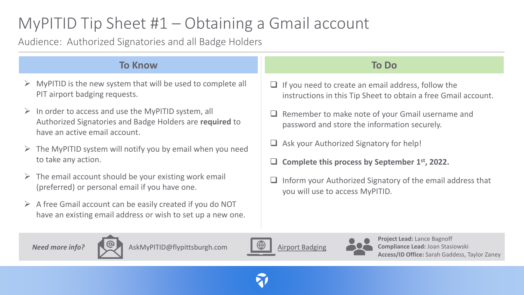# MyPITID Tip Sheet #1 – Obtaining a Gmail account

Audience: Authorized Signatories and all Badge Holders

#### **To Do**  $\Box$  If you need to create an email address, follow the instructions in this Tip Sheet to obtain a free Gmail account. ❑ Remember to make note of your Gmail username and password and store the information securely. ❑ Ask your Authorized Signatory for help! ❑ **Complete this process by September 1st, 2022. To Know**  $\triangleright$  MyPITID is the new system that will be used to complete all PIT airport badging requests.  $\triangleright$  In order to access and use the MyPITID system, all Authorized Signatories and Badge Holders are **required** to have an active email account.  $\triangleright$  The MyPITID system will notify you by email when you need to take any action.

- $\triangleright$  The email account should be your existing work email (preferred) or personal email if you have one.
- $\triangleright$  A free Gmail account can be easily created if you do NOT have an existing email address or wish to set up a new one.

### ❑ Inform your Authorized Signatory of the email address that you will use to access MyPITID.





AskMyPITID@flypittsburgh.com  $\mathbb{Q}$  [Airport Badging](https://flypittsburgh.com/acaa-corporate/tenants-staff/airport-badging/)





**Project Lead:** Lance Bagnoff **Compliance Lead:** Joan Stasiowski **Access/ID Office:** Sarah Gaddess, Taylor Zaney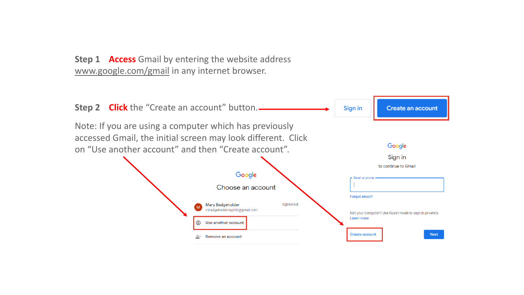**Step 1 Access** Gmail by entering the website address [www.google.com/gmail](http://www.google.com/gmail) in any internet browser.

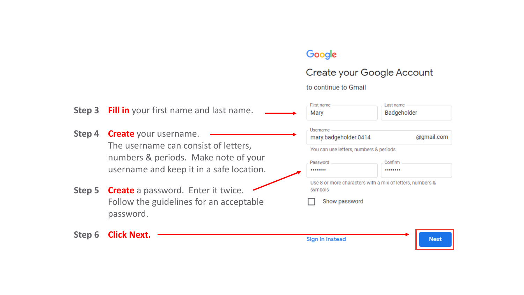# Google

# Create your Google Account

to continue to Gmail

| Step 3 | <b>Fill in</b> your first name and last name.                                                                | First name<br>Mary                                                   | Last name<br>Badgeholder |  |
|--------|--------------------------------------------------------------------------------------------------------------|----------------------------------------------------------------------|--------------------------|--|
| Step 4 | <b>Create</b> your username.<br>The username can consist of letters,<br>numbers & periods. Make note of your | Username<br>mary.badgeholder.0414                                    | @gmail.com               |  |
|        |                                                                                                              | You can use letters, numbers & periods                               |                          |  |
|        |                                                                                                              | Password                                                             | Confirm                  |  |
|        | username and keep it in a safe location.                                                                     |                                                                      |                          |  |
| Step 5 | <b>Create</b> a password. Enter it twice.                                                                    | Use 8 or more characters with a mix of letters, numbers &<br>symbols |                          |  |
|        | Follow the guidelines for an acceptable<br>password.                                                         | Show password                                                        |                          |  |
| Step 6 | <b>Click Next.</b>                                                                                           | Sign in instead                                                      | <b>Next</b>              |  |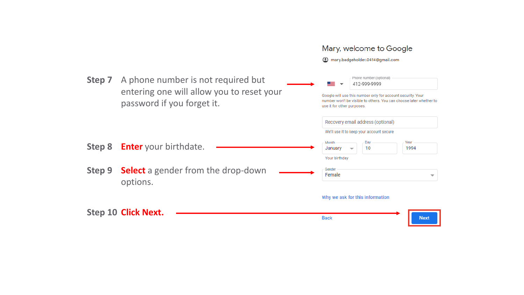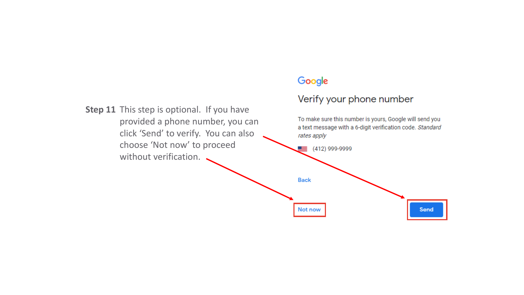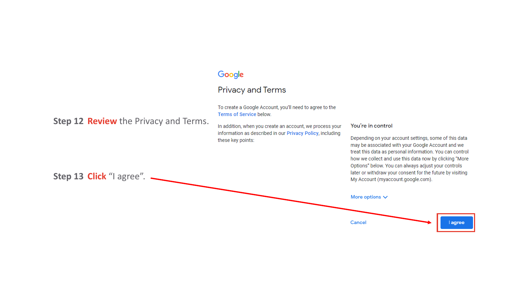### Google

#### **Privacy and Terms**

To create a Google Account, you'll need to agree to the Terms of Service below.

In addition, when you create an account, we process your information as described in our Privacy Policy, including these key points:

#### You're in control

Depending on your account settings, some of this data may be associated with your Google Account and we treat this data as personal information. You can control how we collect and use this data now by clicking "More Options" below. You can always adjust your controls later or withdraw your consent for the future by visiting



**Step 12 Review** the Privacy and Terms.